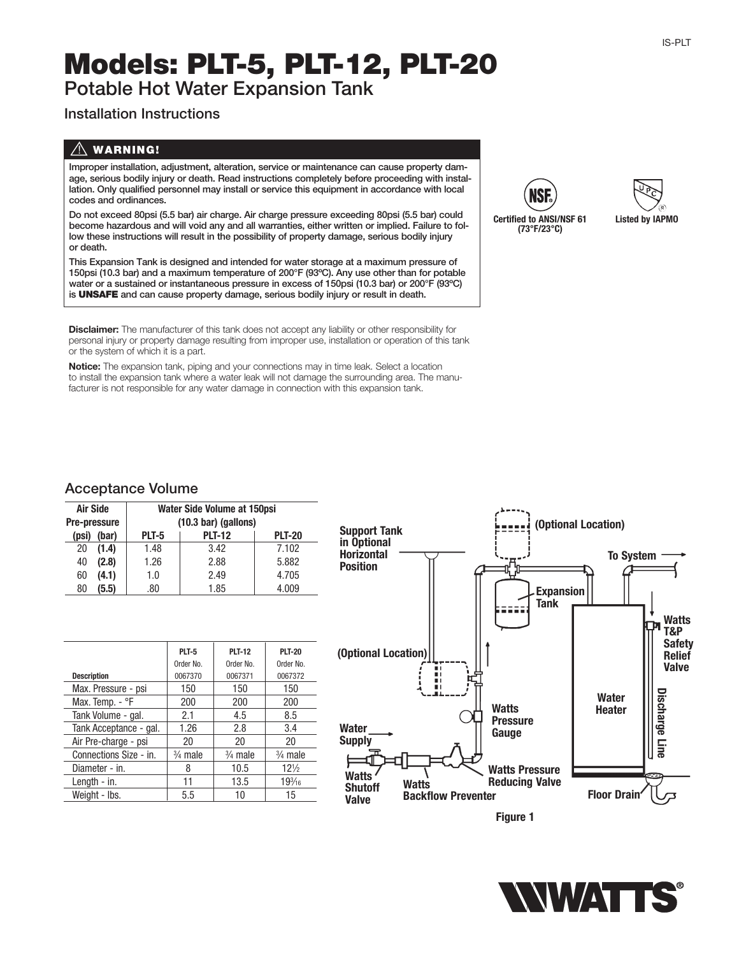# **Models: PLT-5, PLT-12, PLT-20**

**Potable Hot Water Expansion Tank**

## **Installation Instructions**

## ! **WARNING!**

**Improper installation, adjustment, alteration, service or maintenance can cause property damage, serious bodily injury or death. Read instructions completely before proceeding with installation. Only qualified personnel may install or service this equipment in accordance with local codes and ordinances.**

**Do not exceed 80psi (5.5 bar) air charge. Air charge pressure exceeding 80psi (5.5 bar) could become hazardous and will void any and all warranties, either written or implied. Failure to follow these instructions will result in the possibility of property damage, serious bodily injury or death.**

**This Expansion Tank is designed and intended for water storage at a maximum pressure of 150psi (10.3 bar) and a maximum temperature of 200°F (93ºC). Any use other than for potable water or a sustained or instantaneous pressure in excess of 150psi (10.3 bar) or 200°F (93ºC) is UNSAFE and can cause property damage, serious bodily injury or result in death.**

**Disclaimer:** The manufacturer of this tank does not accept any liability or other responsibility for personal injury or property damage resulting from improper use, installation or operation of this tank or the system of which it is a part.

**Notice:** The expansion tank, piping and your connections may in time leak. Select a location to install the expansion tank where a water leak will not damage the surrounding area. The manufacturer is not responsible for any water damage in connection with this expansion tank.





#### **Acceptance Volume**

| Air Side<br>Pre-pressure |       | Water Side Volume at 150psi<br>$(10.3 \text{ bar})$ (gallons) |               |               |  |
|--------------------------|-------|---------------------------------------------------------------|---------------|---------------|--|
| (psi)                    | (bar) | PLT-5                                                         | <b>PLT-12</b> | <b>PLT-20</b> |  |
| 20                       | (1.4) | 1.48                                                          | 3.42          | 7.102         |  |
| 40                       | (2.8) | 1.26                                                          | 2.88          | 5.882         |  |
| 60                       | (4.1) | 1.0                                                           | 2.49          | 4.705         |  |
| 80                       | (5.5) | .80                                                           | 1.85          | 4.009         |  |

|                        | PLT-5              | <b>PLT-12</b>      | <b>PLT-20</b>      |
|------------------------|--------------------|--------------------|--------------------|
|                        | Order No.          | Order No.          | Order No.          |
| <b>Description</b>     | 0067370            | 0067371            | 0067372            |
| Max. Pressure - psi    | 150                | 150                | 150                |
| Max. Temp. - °F        | 200                | 200                | 200                |
| Tank Volume - gal.     | 2.1                | 4.5                | 8.5                |
| Tank Acceptance - gal. | 1.26               | 2.8                | 3.4                |
| Air Pre-charge - psi   | 20                 | 20                 | 20                 |
| Connections Size - in. | $\frac{3}{4}$ male | $\frac{3}{4}$ male | $\frac{3}{4}$ male |
| Diameter - in.         | 8                  | 10.5               | $12\frac{1}{2}$    |
| Length - in.           | 11                 | 13.5               | $19\frac{3}{16}$   |
| Weight - Ibs.          | 5.5                | 10                 | 15                 |